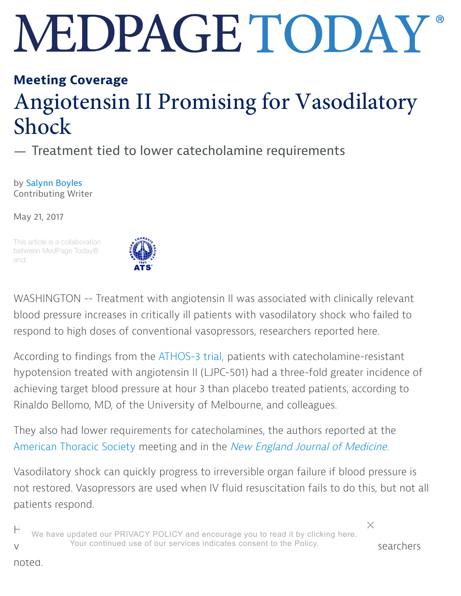## MEDPAGE TODAY

## Meeting [Cover](https://www.medpagetoday.com/meetingcoverage)age

## Angiotensin II Promising for Vasodilatory Shock

— Treatment tied to lower catecholamine requirements

by Saly[nn Bo](mailto:sboyles@comcast.net)yles Contributing Writer

May 21, 2017

This article is a collaboration between MedPage Today® and:



WASHINGTON -- Treatment with angiotensin II was associated with clinically relevant blood pressure increases in critically ill patients with vasodilatory shock who failed to respond to high doses of conventional vasopressors, researchers reported here.

According to findings from the [ATHOS-3 tr](https://clinicaltrials.gov/ct2/show/NCT02338843)ial, patients with catecholamine-resistant hypotension treated with angiotensin II (LJPC-501) had a three-fold greater incidence of achieving target blood pressure at hour 3 than placebo treated patients, according to Rinaldo Bellomo, MD, of the University of Melbourne, and colleagues.

They also had lower requirements for catecholamines, the authors reported at the America[n Thor](http://www.medpagetoday.com/meetingcoverage/ats)acic Society meeting and in the New Engla[nd Journ](http://www.nejm.org/)al of Medicine.

Vasodilatory shock can quickly progress to irreversible organ failure if blood pressure is not restored. Vasopressors are used when IV fluid resuscitation fails to do this, but not all patients respond.

 $\mathsf H$  We have updated our PRIVACY POLICY and encourage you to read it by clicking [here.](https://www.medpagetoday.com/meetingcoverage/ats/65462#) V Tour continued use of our services indicates consent to the Policy. Searchers

[×](https://www.medpagetoday.com/meetingcoverage/ats/65462#)

noted.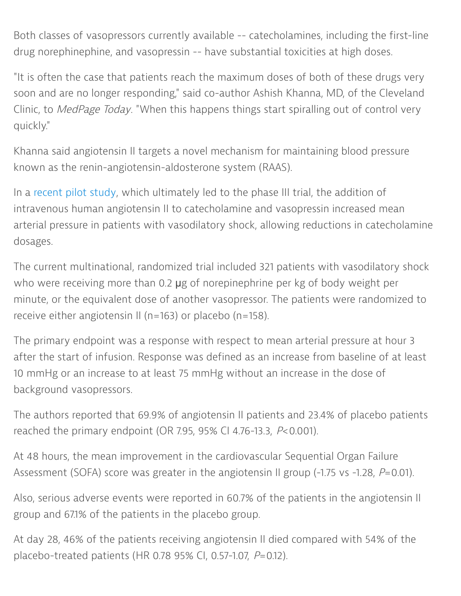Both classes of vasopressors currently available -- catecholamines, including the first-line drug norephinephine, and vasopressin -- have substantial toxicities at high doses.

"It is often the case that patients reach the maximum doses of both of these drugs very soon and are no longer responding," said co-author Ashish Khanna, MD, of the Cleveland Clinic, to MedPage Today. "When this happens things start spiralling out of control very quickly."

Khanna said angiotensin II targets a novel mechanism for maintaining blood pressure known as the renin-angiotensin-aldosterone system (RAAS).

In a [recent p](https://www.ncbi.nlm.nih.gov/pubmed/25286986)ilot study, which ultimately led to the phase III trial, the addition of intravenous human angiotensin II to catecholamine and vasopressin increased mean arterial pressure in patients with vasodilatory shock, allowing reductions in catecholamine dosages.

The current multinational, randomized trial included 321 patients with vasodilatory shock who were receiving more than 0.2 µg of norepinephrine per kg of body weight per minute, or the equivalent dose of another vasopressor. The patients were randomized to receive either angiotensin II (n=163) or placebo (n=158).

The primary endpoint was a response with respect to mean arterial pressure at hour 3 after the start of infusion. Response was defined as an increase from baseline of at least 10 mmHg or an increase to at least 75 mmHg without an increase in the dose of background vasopressors.

The authors reported that 69.9% of angiotensin II patients and 23.4% of placebo patients reached the primary endpoint (OR 7.95, 95% CI 4.76-13.3,  $P<sub>0.001</sub>$ ).

At 48 hours, the mean improvement in the cardiovascular Sequential Organ Failure Assessment (SOFA) score was greater in the angiotensin II group (-1.75 vs -1.28, P=0.01).

Also, serious adverse events were reported in 60.7% of the patients in the angiotensin II group and 67.1% of the patients in the placebo group.

At day 28, 46% of the patients receiving angiotensin II died compared with 54% of the placebo-treated patients (HR 0.78 95% CI, 0.57-1.07,  $P=0.12$ ).